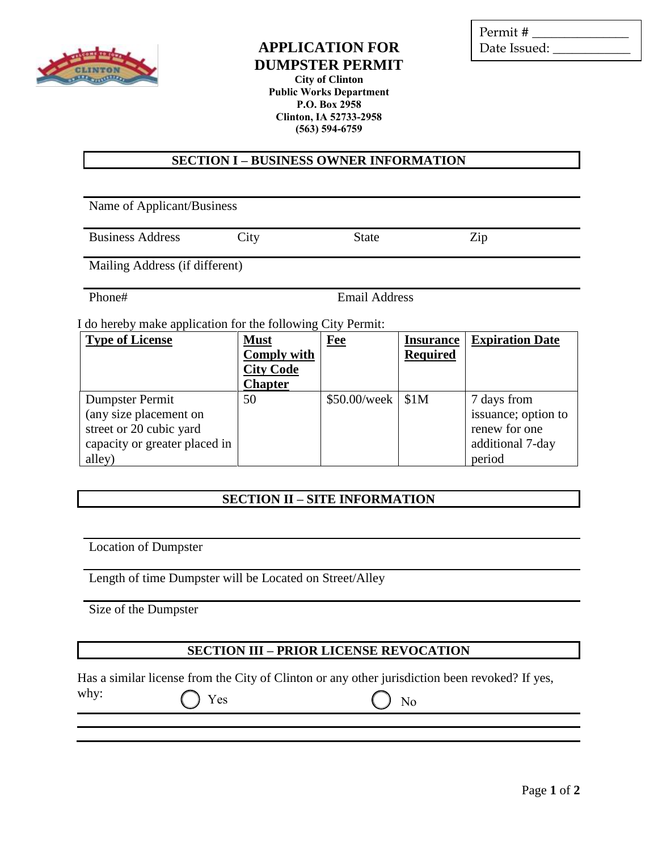

### **APPLICATION FOR DUMPSTER PERMIT**

Permit # \_\_\_\_\_\_\_\_\_\_\_\_\_\_\_ Date Issued:

**City of Clinton Public Works Department P.O. Box 2958 Clinton, IA 52733-2958 (563) 594-6759**

**SECTION I – BUSINESS OWNER INFORMATION**

Name of Applicant/Business

Business Address City State Zip

Mailing Address (if different)

Phone# Email Address

I do hereby make application for the following City Permit:

| <b>Type of License</b>        | <b>Must</b>        | <b>Fee</b>     | <b>Insurance</b> | <b>Expiration Date</b> |
|-------------------------------|--------------------|----------------|------------------|------------------------|
|                               | <b>Comply with</b> |                | <b>Required</b>  |                        |
|                               | <b>City Code</b>   |                |                  |                        |
|                               | <b>Chapter</b>     |                |                  |                        |
| Dumpster Permit               | 50                 | $$50.00$ /week | \$1M             | 7 days from            |
| (any size placement on        |                    |                |                  | issuance; option to    |
| street or 20 cubic yard       |                    |                |                  | renew for one          |
| capacity or greater placed in |                    |                |                  | additional 7-day       |
| alley)                        |                    |                |                  | period                 |

# **SECTION II – SITE INFORMATION**

Location of Dumpster

Length of time Dumpster will be Located on Street/Alley

Size of the Dumpster

### **SECTION III – PRIOR LICENSE REVOCATION**

Has a similar license from the City of Clinton or any other jurisdiction been revoked? If yes,

| why: | $\bigcirc$ Yes | $\bigcirc$ No |
|------|----------------|---------------|
|      |                |               |